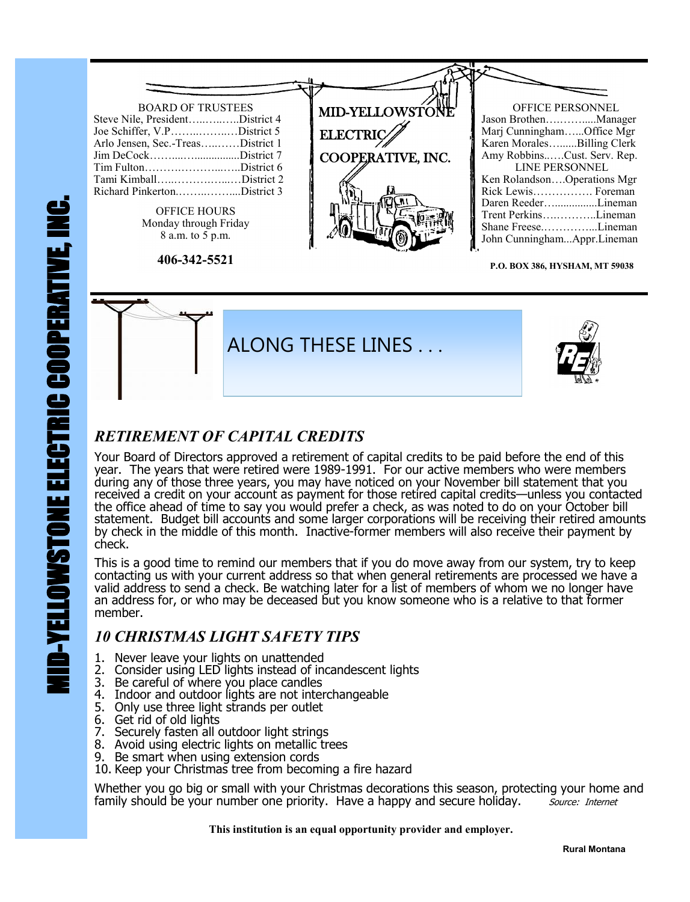

**P.O. BOX 386, HYSHAM, MT 59038**



### *RETIREMENT OF CAPITAL CREDITS*

Your Board of Directors approved a retirement of capital credits to be paid before the end of this year. The years that were retired were 1989-1991. For our active members who were members during any of those three years, you may have noticed on your November bill statement that you received a credit on your account as payment for those retired capital credits—unless you contacted the office ahead of time to say you would prefer a check, as was noted to do on your October bill statement. Budget bill accounts and some larger corporations will be receiving their retired amounts by check in the middle of this month. Inactive-former members will also receive their payment by check.

This is a good time to remind our members that if you do move away from our system, try to keep contacting us with your current address so that when general retirements are processed we have a valid address to send a check. Be watching later for a list of members of whom we no longer have an address for, or who may be deceased but you know someone who is a relative to that former member.

#### *10 CHRISTMAS LIGHT SAFETY TIPS*

- 1. Never leave your lights on unattended
- 2. Consider using LED lights instead of incandescent lights
- 3. Be careful of where you place candles
- 4. Indoor and outdoor lights are not interchangeable
- 5. Only use three light strands per outlet
- 6. Get rid of old lights
- 7. Securely fasten all outdoor light strings
- 8. Avoid using electric lights on metallic trees
- 9. Be smart when using extension cords
- 10. Keep your Christmas tree from becoming a fire hazard

Whether you go big or small with your Christmas decorations this season, protecting your home and family should be your number one priority. Have a happy and secure holiday. Source: Internet

 **This institution is an equal opportunity provider and employer.**